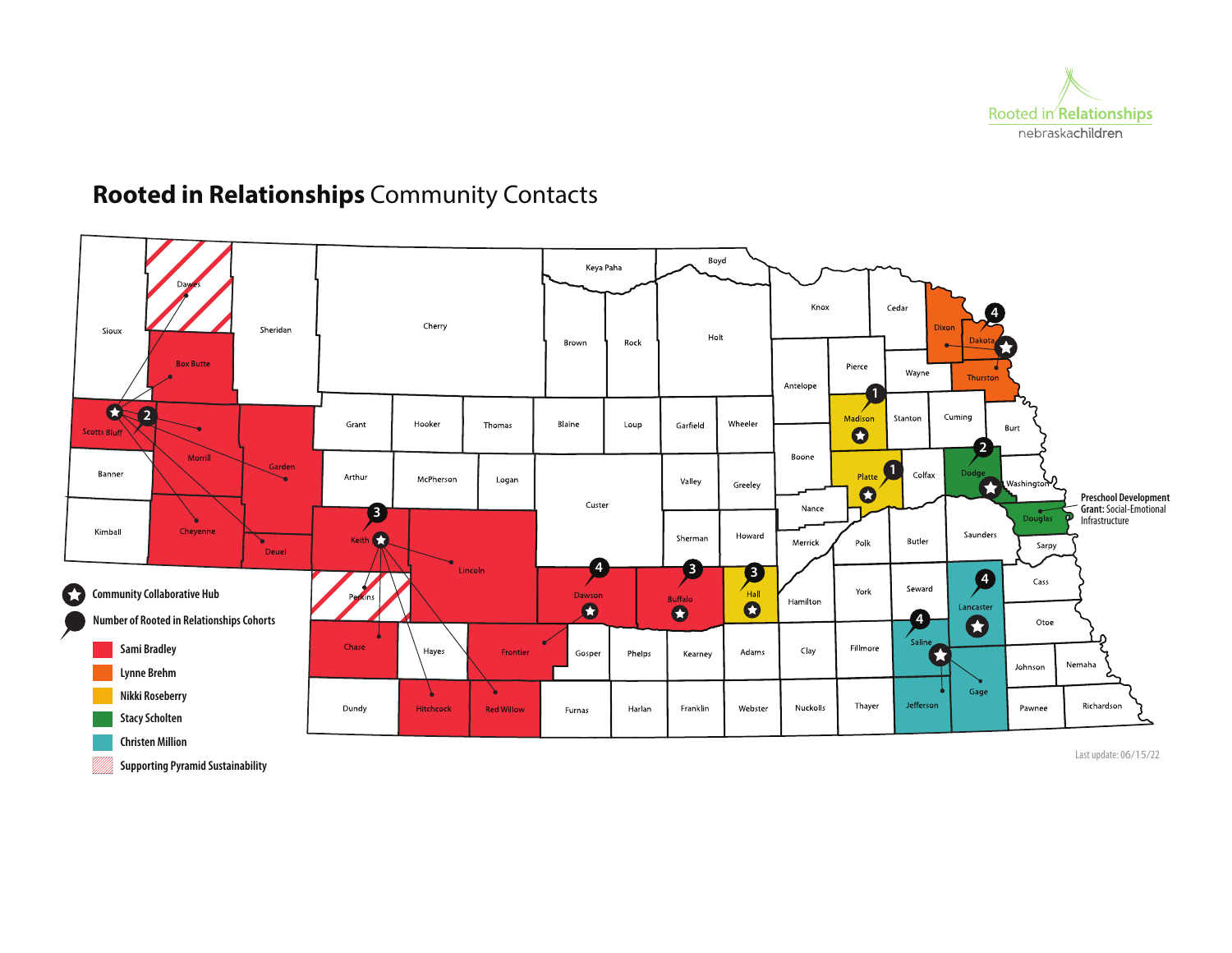

# **Rooted in Relationships** Community Contacts



**Supporting Pyramid Sustainability**

Last update: 06/15/22